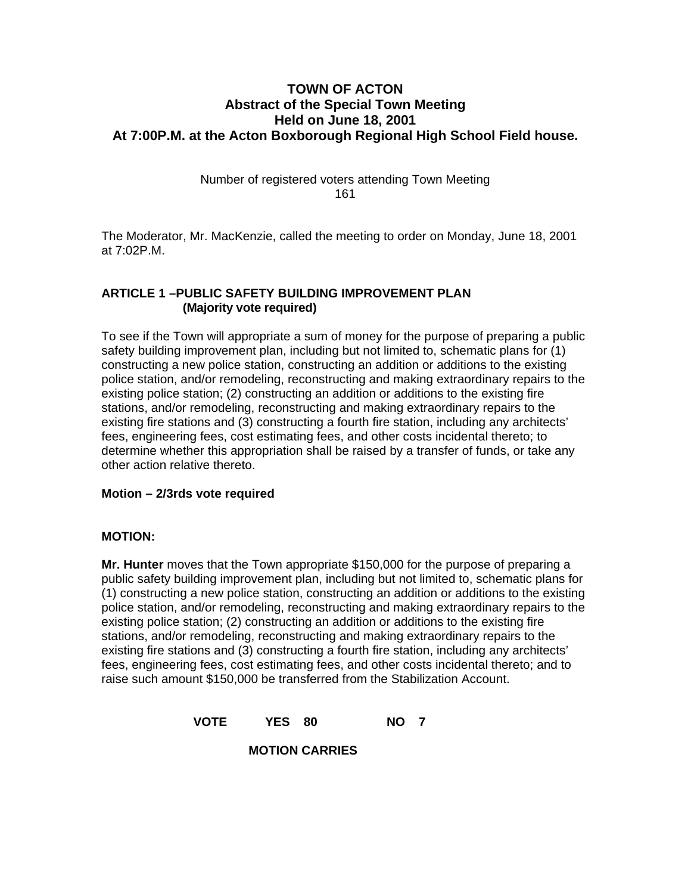## **TOWN OF ACTON Abstract of the Special Town Meeting Held on June 18, 2001 At 7:00P.M. at the Acton Boxborough Regional High School Field house.**

Number of registered voters attending Town Meeting 161

The Moderator, Mr. MacKenzie, called the meeting to order on Monday, June 18, 2001 at 7:02P.M.

#### **ARTICLE 1 –PUBLIC SAFETY BUILDING IMPROVEMENT PLAN (Majority vote required)**

To see if the Town will appropriate a sum of money for the purpose of preparing a public safety building improvement plan, including but not limited to, schematic plans for (1) constructing a new police station, constructing an addition or additions to the existing police station, and/or remodeling, reconstructing and making extraordinary repairs to the existing police station; (2) constructing an addition or additions to the existing fire stations, and/or remodeling, reconstructing and making extraordinary repairs to the existing fire stations and (3) constructing a fourth fire station, including any architects' fees, engineering fees, cost estimating fees, and other costs incidental thereto; to determine whether this appropriation shall be raised by a transfer of funds, or take any other action relative thereto.

### **Motion – 2/3rds vote required**

#### **MOTION:**

**Mr. Hunter** moves that the Town appropriate \$150,000 for the purpose of preparing a public safety building improvement plan, including but not limited to, schematic plans for (1) constructing a new police station, constructing an addition or additions to the existing police station, and/or remodeling, reconstructing and making extraordinary repairs to the existing police station; (2) constructing an addition or additions to the existing fire stations, and/or remodeling, reconstructing and making extraordinary repairs to the existing fire stations and (3) constructing a fourth fire station, including any architects' fees, engineering fees, cost estimating fees, and other costs incidental thereto; and to raise such amount \$150,000 be transferred from the Stabilization Account.

**VOTE YES 80 NO 7** 

 **MOTION CARRIES**